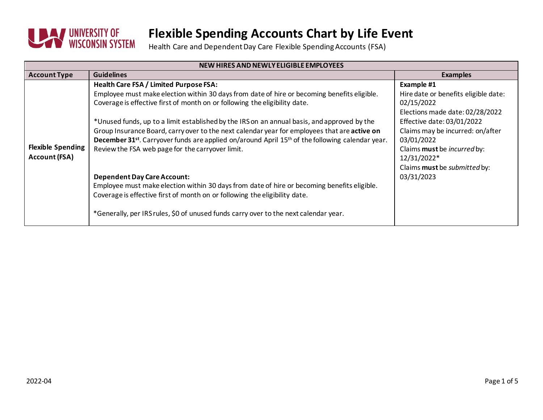

| NEW HIRES AND NEWLY ELIGIBLE EMPLOYEES           |                                                                                                                                                                           |                                                    |  |  |
|--------------------------------------------------|---------------------------------------------------------------------------------------------------------------------------------------------------------------------------|----------------------------------------------------|--|--|
| <b>Account Type</b>                              | <b>Guidelines</b>                                                                                                                                                         | <b>Examples</b>                                    |  |  |
| <b>Flexible Spending</b><br><b>Account (FSA)</b> | Health Care FSA / Limited Purpose FSA:                                                                                                                                    | Example #1                                         |  |  |
|                                                  | Employee must make election within 30 days from date of hire or becoming benefits eligible.<br>Coverage is effective first of month on or following the eligibility date. | Hire date or benefits eligible date:<br>02/15/2022 |  |  |
|                                                  |                                                                                                                                                                           | Elections made date: 02/28/2022                    |  |  |
|                                                  | *Unused funds, up to a limit established by the IRS on an annual basis, and approved by the                                                                               | Effective date: 03/01/2022                         |  |  |
|                                                  | Group Insurance Board, carry over to the next calendar year for employees that are active on                                                                              | Claims may be incurred: on/after                   |  |  |
|                                                  | December 31 <sup>st</sup> . Carryover funds are applied on/around April 15 <sup>th</sup> of the following calendar year.                                                  | 03/01/2022                                         |  |  |
|                                                  | Review the FSA web page for the carryover limit.                                                                                                                          | Claims must be incurred by:                        |  |  |
|                                                  |                                                                                                                                                                           | 12/31/2022*                                        |  |  |
|                                                  |                                                                                                                                                                           | Claims must be submitted by:                       |  |  |
|                                                  | <b>Dependent Day Care Account:</b>                                                                                                                                        | 03/31/2023                                         |  |  |
|                                                  | Employee must make election within 30 days from date of hire or becoming benefits eligible.                                                                               |                                                    |  |  |
|                                                  | Coverage is effective first of month on or following the eligibility date.                                                                                                |                                                    |  |  |
|                                                  | *Generally, per IRS rules, \$0 of unused funds carry over to the next calendar year.                                                                                      |                                                    |  |  |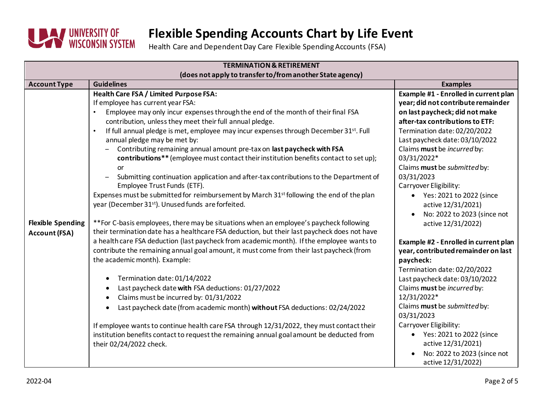

| <b>TERMINATION &amp; RETIREMENT</b>                                     |                                                                                                                                                                                                                                                                                                                                                                                                                                                                                                                                                                                                                                                                                                                                                                                                                                                                                                                                                                                                                                                                                                                                                                                                                                                                                                                                                                                                                                                                                                                                                                                                                                                                                                                                       |                                                                                                                                                                                                                                                                                                                                                                                                                                                                                                                                                                                                                                                                                                                                                                                                             |  |  |
|-------------------------------------------------------------------------|---------------------------------------------------------------------------------------------------------------------------------------------------------------------------------------------------------------------------------------------------------------------------------------------------------------------------------------------------------------------------------------------------------------------------------------------------------------------------------------------------------------------------------------------------------------------------------------------------------------------------------------------------------------------------------------------------------------------------------------------------------------------------------------------------------------------------------------------------------------------------------------------------------------------------------------------------------------------------------------------------------------------------------------------------------------------------------------------------------------------------------------------------------------------------------------------------------------------------------------------------------------------------------------------------------------------------------------------------------------------------------------------------------------------------------------------------------------------------------------------------------------------------------------------------------------------------------------------------------------------------------------------------------------------------------------------------------------------------------------|-------------------------------------------------------------------------------------------------------------------------------------------------------------------------------------------------------------------------------------------------------------------------------------------------------------------------------------------------------------------------------------------------------------------------------------------------------------------------------------------------------------------------------------------------------------------------------------------------------------------------------------------------------------------------------------------------------------------------------------------------------------------------------------------------------------|--|--|
|                                                                         | (does not apply to transfer to/from another State agency)                                                                                                                                                                                                                                                                                                                                                                                                                                                                                                                                                                                                                                                                                                                                                                                                                                                                                                                                                                                                                                                                                                                                                                                                                                                                                                                                                                                                                                                                                                                                                                                                                                                                             |                                                                                                                                                                                                                                                                                                                                                                                                                                                                                                                                                                                                                                                                                                                                                                                                             |  |  |
| <b>Account Type</b><br><b>Flexible Spending</b><br><b>Account (FSA)</b> | <b>Guidelines</b><br>Health Care FSA / Limited Purpose FSA:<br>If employee has current year FSA:<br>Employee may only incur expenses through the end of the month of their final FSA<br>contribution, unless they meet their full annual pledge.<br>If full annual pledge is met, employee may incur expenses through December 31st. Full<br>$\bullet$<br>annual pledge may be met by:<br>Contributing remaining annual amount pre-tax on last paycheck with FSA<br>contributions** (employee must contact their institution benefits contact to set up);<br>or<br>Submitting continuation application and after-tax contributions to the Department of<br>Employee Trust Funds (ETF).<br>Expenses must be submitted for reimbursement by March 31 <sup>st</sup> following the end of the plan<br>year (December 31 <sup>st</sup> ). Unused funds are forfeited.<br>**For C-basis employees, there may be situations when an employee's paycheck following<br>their termination date has a healthcare FSA deduction, but their last paycheck does not have<br>a health care FSA deduction (last paycheck from academic month). If the employee wants to<br>contribute the remaining annual goal amount, it must come from their last paycheck (from<br>the academic month). Example:<br>Termination date: 01/14/2022<br>Last paycheck date with FSA deductions: 01/27/2022<br>Claims must be incurred by: 01/31/2022<br>$\bullet$<br>Last paycheck date (from academic month) without FSA deductions: 02/24/2022<br>If employee wants to continue health care FSA through 12/31/2022, they must contact their<br>institution benefits contact to request the remaining annual goal amount be deducted from<br>their 02/24/2022 check. | <b>Examples</b><br>Example #1 - Enrolled in current plan<br>year; did not contribute remainder<br>on last paycheck; did not make<br>after-tax contributions to ETF:<br>Termination date: 02/20/2022<br>Last paycheck date: 03/10/2022<br>Claims must be incurred by:<br>03/31/2022*<br>Claims must be submitted by:<br>03/31/2023<br>Carryover Eligibility:<br>Yes: 2021 to 2022 (since<br>active 12/31/2021)<br>No: 2022 to 2023 (since not<br>active 12/31/2022)<br>Example #2 - Enrolled in current plan<br>year, contributed remainder on last<br>paycheck:<br>Termination date: 02/20/2022<br>Last paycheck date: 03/10/2022<br>Claims must be incurred by:<br>12/31/2022*<br>Claims must be submitted by:<br>03/31/2023<br>Carryover Eligibility:<br>• Yes: 2021 to 2022 (since<br>active 12/31/2021) |  |  |
|                                                                         |                                                                                                                                                                                                                                                                                                                                                                                                                                                                                                                                                                                                                                                                                                                                                                                                                                                                                                                                                                                                                                                                                                                                                                                                                                                                                                                                                                                                                                                                                                                                                                                                                                                                                                                                       | No: 2022 to 2023 (since not<br>active 12/31/2022)                                                                                                                                                                                                                                                                                                                                                                                                                                                                                                                                                                                                                                                                                                                                                           |  |  |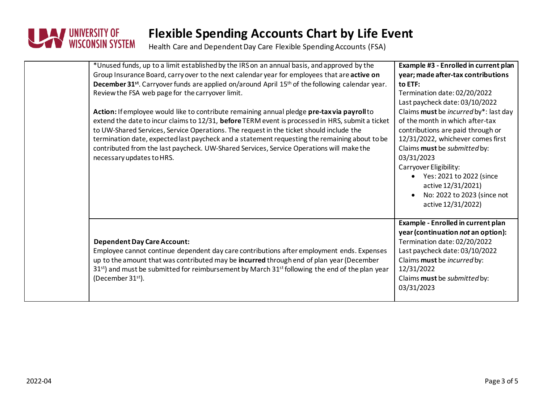

| *Unused funds, up to a limit established by the IRS on an annual basis, and approved by the<br>Group Insurance Board, carry over to the next calendar year for employees that are active on<br>December 31 <sup>st</sup> . Carryover funds are applied on/around April 15 <sup>th</sup> of the following calendar year.<br>Review the FSA web page for the carryover limit.<br>Action: If employee would like to contribute remaining annual pledge pre-taxvia payroll to<br>extend the date to incur claims to 12/31, before TERM event is processed in HRS, submit a ticket<br>to UW-Shared Services, Service Operations. The request in the ticket should include the<br>termination date, expected last paycheck and a statement requesting the remaining about to be<br>contributed from the last paycheck. UW-Shared Services, Service Operations will make the<br>necessary updates to HRS. | Example #3 - Enrolled in current plan<br>year; made after-tax contributions<br>to ETF:<br>Termination date: 02/20/2022<br>Last paycheck date: 03/10/2022<br>Claims must be incurred by*: last day<br>of the month in which after-tax<br>contributions are paid through or<br>12/31/2022, whichever comes first<br>Claims must be submitted by:<br>03/31/2023<br>Carryover Eligibility:<br>Yes: 2021 to 2022 (since<br>active 12/31/2021)<br>No: 2022 to 2023 (since not<br>active 12/31/2022) |
|----------------------------------------------------------------------------------------------------------------------------------------------------------------------------------------------------------------------------------------------------------------------------------------------------------------------------------------------------------------------------------------------------------------------------------------------------------------------------------------------------------------------------------------------------------------------------------------------------------------------------------------------------------------------------------------------------------------------------------------------------------------------------------------------------------------------------------------------------------------------------------------------------|-----------------------------------------------------------------------------------------------------------------------------------------------------------------------------------------------------------------------------------------------------------------------------------------------------------------------------------------------------------------------------------------------------------------------------------------------------------------------------------------------|
| <b>Dependent Day Care Account:</b><br>Employee cannot continue dependent day care contributions after employment ends. Expenses<br>up to the amount that was contributed may be incurred through end of plan year (December<br>$31st$ ) and must be submitted for reimbursement by March $31st$ following the end of the plan year<br>(December 31 <sup>st</sup> ).                                                                                                                                                                                                                                                                                                                                                                                                                                                                                                                                | Example - Enrolled in current plan<br>year (continuation not an option):<br>Termination date: 02/20/2022<br>Last paycheck date: 03/10/2022<br>Claims must be incurred by:<br>12/31/2022<br>Claims must be submitted by:<br>03/31/2023                                                                                                                                                                                                                                                         |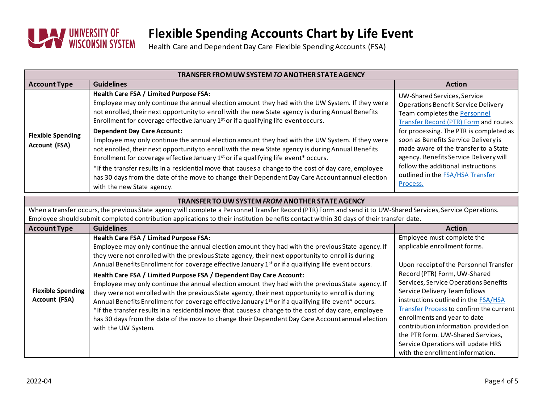

| TRANSFER FROM UW SYSTEM TO ANOTHER STATE AGENCY                                                                                                                                                                                                                                                                                                                    |                                                                                                                                                                                                                                                                                                                                                                                                                                                                                                                                                                                                                                                                                                                                                                                                                                                                                                                                                                                                              |                                                                                                                                                                                                                                                                                                                                                                                                                                                                                                        |  |  |
|--------------------------------------------------------------------------------------------------------------------------------------------------------------------------------------------------------------------------------------------------------------------------------------------------------------------------------------------------------------------|--------------------------------------------------------------------------------------------------------------------------------------------------------------------------------------------------------------------------------------------------------------------------------------------------------------------------------------------------------------------------------------------------------------------------------------------------------------------------------------------------------------------------------------------------------------------------------------------------------------------------------------------------------------------------------------------------------------------------------------------------------------------------------------------------------------------------------------------------------------------------------------------------------------------------------------------------------------------------------------------------------------|--------------------------------------------------------------------------------------------------------------------------------------------------------------------------------------------------------------------------------------------------------------------------------------------------------------------------------------------------------------------------------------------------------------------------------------------------------------------------------------------------------|--|--|
| <b>Account Type</b>                                                                                                                                                                                                                                                                                                                                                | <b>Guidelines</b>                                                                                                                                                                                                                                                                                                                                                                                                                                                                                                                                                                                                                                                                                                                                                                                                                                                                                                                                                                                            | <b>Action</b>                                                                                                                                                                                                                                                                                                                                                                                                                                                                                          |  |  |
| <b>Flexible Spending</b><br>Account (FSA)                                                                                                                                                                                                                                                                                                                          | Health Care FSA / Limited Purpose FSA:<br>Employee may only continue the annual election amount they had with the UW System. If they were<br>not enrolled, their next opportunity to enroll with the new State agency is during Annual Benefits<br>Enrollment for coverage effective January 1 <sup>st</sup> or if a qualifying life event occurs.<br><b>Dependent Day Care Account:</b><br>Employee may only continue the annual election amount they had with the UW System. If they were<br>not enrolled, their next opportunity to enroll with the new State agency is during Annual Benefits<br>Enrollment for coverage effective January 1 <sup>st</sup> or if a qualifying life event <sup>*</sup> occurs.<br>*If the transfer results in a residential move that causes a change to the cost of day care, employee<br>has 30 days from the date of the move to change their Dependent Day Care Account annual election<br>with the new State agency.                                                 | UW-Shared Services, Service<br><b>Operations Benefit Service Delivery</b><br>Team completes the Personnel<br><b>Transfer Record (PTR) Form and routes</b><br>for processing. The PTR is completed as<br>soon as Benefits Service Delivery is<br>made aware of the transfer to a State<br>agency. Benefits Service Delivery will<br>follow the additional instructions<br>outlined in the <b>FSA/HSA Transfer</b><br>Process.                                                                           |  |  |
| <b>TRANSFER TO UW SYSTEM FROM ANOTHER STATE AGENCY</b><br>When a transfer occurs, the previous State agency will complete a Personnel Transfer Record (PTR) Form and send it to UW-Shared Services, Service Operations.<br>Employee should submit completed contribution applications to their institution benefits contact within 30 days of their transfer date. |                                                                                                                                                                                                                                                                                                                                                                                                                                                                                                                                                                                                                                                                                                                                                                                                                                                                                                                                                                                                              |                                                                                                                                                                                                                                                                                                                                                                                                                                                                                                        |  |  |
| <b>Account Type</b>                                                                                                                                                                                                                                                                                                                                                | <b>Guidelines</b>                                                                                                                                                                                                                                                                                                                                                                                                                                                                                                                                                                                                                                                                                                                                                                                                                                                                                                                                                                                            | <b>Action</b>                                                                                                                                                                                                                                                                                                                                                                                                                                                                                          |  |  |
| <b>Flexible Spending</b><br><b>Account (FSA)</b>                                                                                                                                                                                                                                                                                                                   | Health Care FSA / Limited Purpose FSA:<br>Employee may only continue the annual election amount they had with the previous State agency. If<br>they were not enrolled with the previous State agency, their next opportunity to enroll is during<br>Annual Benefits Enrollment for coverage effective January 1 <sup>st</sup> or if a qualifying life event occurs.<br>Health Care FSA / Limited Purpose FSA / Dependent Day Care Account:<br>Employee may only continue the annual election amount they had with the previous State agency. If<br>they were not enrolled with the previous State agency, their next opportunity to enroll is during<br>Annual Benefits Enrollment for coverage effective January 1 <sup>st</sup> or if a qualifying life event* occurs.<br>*If the transfer results in a residential move that causes a change to the cost of day care, employee<br>has 30 days from the date of the move to change their Dependent Day Care Account annual election<br>with the UW System. | Employee must complete the<br>applicable enrollment forms.<br>Upon receipt of the Personnel Transfer<br>Record (PTR) Form, UW-Shared<br>Services, Service Operations Benefits<br>Service Delivery Team follows<br>instructions outlined in the <b>FSA/HSA</b><br><b>Transfer Process to confirm the current</b><br>enrollments and year to date<br>contribution information provided on<br>the PTR form. UW-Shared Services,<br>Service Operations will update HRS<br>with the enrollment information. |  |  |